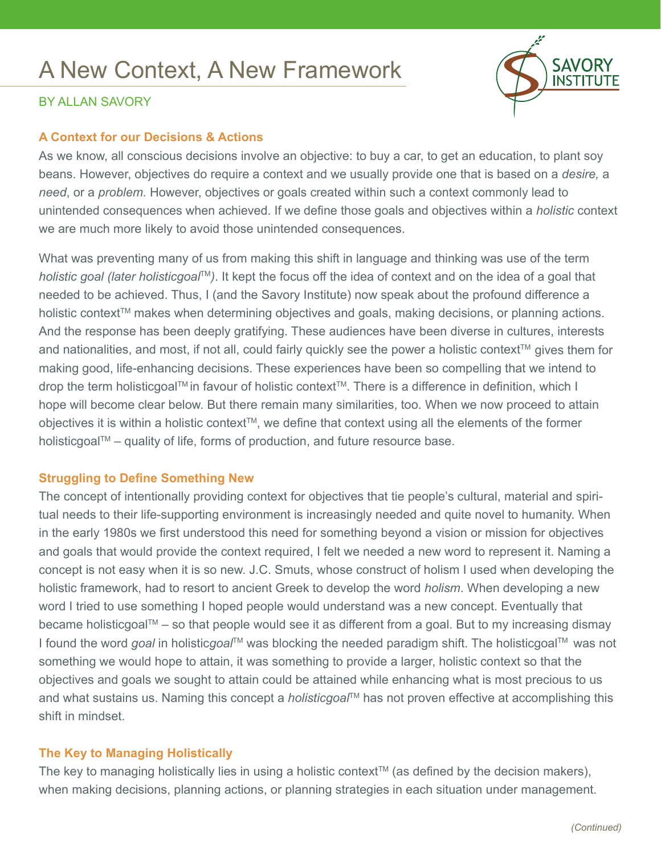# A New Context, A New Framework



## By Allan Savory

#### **A Context for our Decisions & Actions**

As we know, all conscious decisions involve an objective: to buy a car, to get an education, to plant soy beans. However, objectives do require a context and we usually provide one that is based on a *desire,* a *need*, or a *problem.* However, objectives or goals created within such a context commonly lead to unintended consequences when achieved. If we define those goals and objectives within a *holistic* context we are much more likely to avoid those unintended consequences.

What was preventing many of us from making this shift in language and thinking was use of the term *holistic goal (later holisticgoal*TM*)*. It kept the focus off the idea of context and on the idea of a goal that needed to be achieved. Thus, I (and the Savory Institute) now speak about the profound difference a holistic context™ makes when determining objectives and goals, making decisions, or planning actions. And the response has been deeply gratifying. These audiences have been diverse in cultures, interests and nationalities, and most, if not all, could fairly quickly see the power a holistic context™ gives them for making good, life-enhancing decisions. These experiences have been so compelling that we intend to drop the term holisticgoal™ in favour of holistic context™. There is a difference in definition, which I hope will become clear below. But there remain many similarities, too. When we now proceed to attain objectives it is within a holistic context™, we define that context using all the elements of the former holisticgoal $TM$  – quality of life, forms of production, and future resource base.

### **Struggling to Define Something New**

The concept of intentionally providing context for objectives that tie people's cultural, material and spiritual needs to their life-supporting environment is increasingly needed and quite novel to humanity. When in the early 1980s we first understood this need for something beyond a vision or mission for objectives and goals that would provide the context required, I felt we needed a new word to represent it. Naming a concept is not easy when it is so new. J.C. Smuts, whose construct of holism I used when developing the holistic framework, had to resort to ancient Greek to develop the word *holism*. When developing a new word I tried to use something I hoped people would understand was a new concept. Eventually that became holisticgoal™ – so that people would see it as different from a goal. But to my increasing dismay I found the word *goal* in holisticgoal™ was blocking the needed paradigm shift. The holisticgoal™ was not something we would hope to attain, it was something to provide a larger, holistic context so that the objectives and goals we sought to attain could be attained while enhancing what is most precious to us and what sustains us. Naming this concept a *holisticgoal*™ has not proven effective at accomplishing this shift in mindset.

### **The Key to Managing Holistically**

The key to managing holistically lies in using a holistic context<sup>TM</sup> (as defined by the decision makers), when making decisions, planning actions, or planning strategies in each situation under management.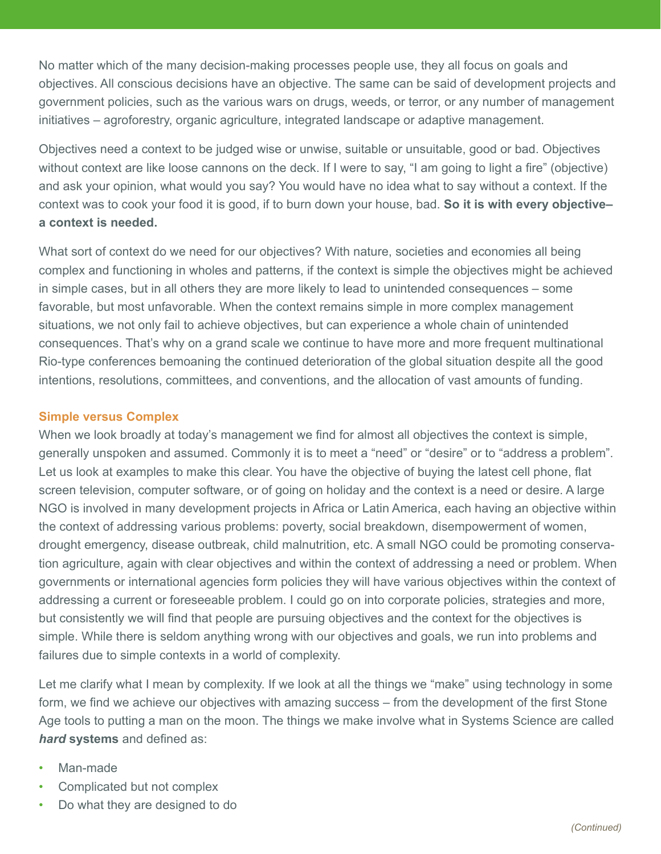No matter which of the many decision-making processes people use, they all focus on goals and objectives. All conscious decisions have an objective. The same can be said of development projects and government policies, such as the various wars on drugs, weeds, or terror, or any number of management initiatives – agroforestry, organic agriculture, integrated landscape or adaptive management.

Objectives need a context to be judged wise or unwise, suitable or unsuitable, good or bad. Objectives without context are like loose cannons on the deck. If I were to say, "I am going to light a fire" (objective) and ask your opinion, what would you say? You would have no idea what to say without a context. If the context was to cook your food it is good, if to burn down your house, bad. **So it is with every objective– a context is needed.**

What sort of context do we need for our objectives? With nature, societies and economies all being complex and functioning in wholes and patterns, if the context is simple the objectives might be achieved in simple cases, but in all others they are more likely to lead to unintended consequences – some favorable, but most unfavorable. When the context remains simple in more complex management situations, we not only fail to achieve objectives, but can experience a whole chain of unintended consequences. That's why on a grand scale we continue to have more and more frequent multinational Rio-type conferences bemoaning the continued deterioration of the global situation despite all the good intentions, resolutions, committees, and conventions, and the allocation of vast amounts of funding.

#### **Simple versus Complex**

When we look broadly at today's management we find for almost all objectives the context is simple, generally unspoken and assumed. Commonly it is to meet a "need" or "desire" or to "address a problem". Let us look at examples to make this clear. You have the objective of buying the latest cell phone, flat screen television, computer software, or of going on holiday and the context is a need or desire. A large NGO is involved in many development projects in Africa or Latin America, each having an objective within the context of addressing various problems: poverty, social breakdown, disempowerment of women, drought emergency, disease outbreak, child malnutrition, etc. A small NGO could be promoting conservation agriculture, again with clear objectives and within the context of addressing a need or problem. When governments or international agencies form policies they will have various objectives within the context of addressing a current or foreseeable problem. I could go on into corporate policies, strategies and more, but consistently we will find that people are pursuing objectives and the context for the objectives is simple. While there is seldom anything wrong with our objectives and goals, we run into problems and failures due to simple contexts in a world of complexity.

Let me clarify what I mean by complexity. If we look at all the things we "make" using technology in some form, we find we achieve our objectives with amazing success – from the development of the first Stone Age tools to putting a man on the moon. The things we make involve what in Systems Science are called *hard* **systems** and defined as:

- Man-made
- Complicated but not complex
- Do what they are designed to do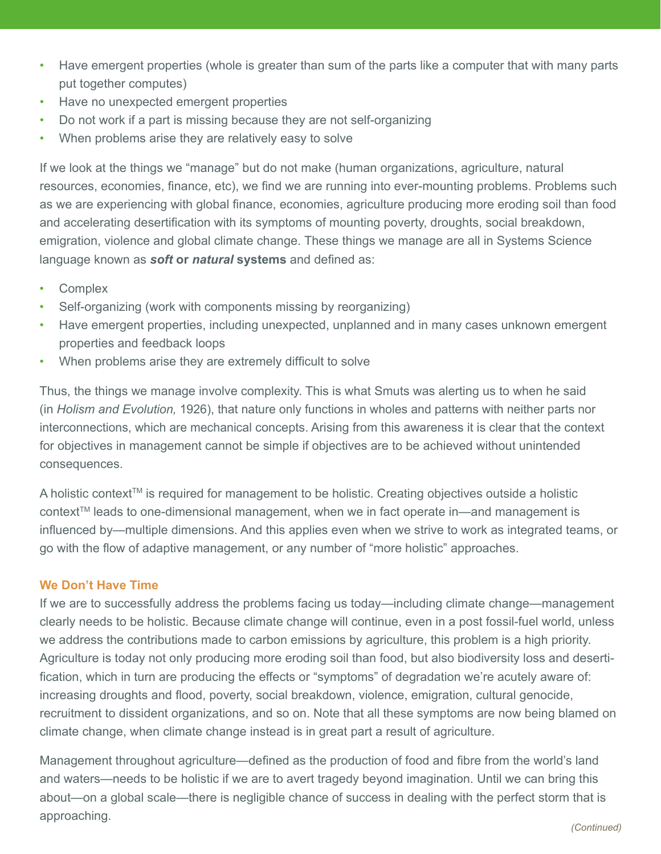- Have emergent properties (whole is greater than sum of the parts like a computer that with many parts put together computes)
- Have no unexpected emergent properties
- Do not work if a part is missing because they are not self-organizing
- When problems arise they are relatively easy to solve

If we look at the things we "manage" but do not make (human organizations, agriculture, natural resources, economies, finance, etc), we find we are running into ever-mounting problems. Problems such as we are experiencing with global finance, economies, agriculture producing more eroding soil than food and accelerating desertification with its symptoms of mounting poverty, droughts, social breakdown, emigration, violence and global climate change. These things we manage are all in Systems Science language known as *soft* **or** *natural* **systems** and defined as:

- Complex
- Self-organizing (work with components missing by reorganizing)
- Have emergent properties, including unexpected, unplanned and in many cases unknown emergent properties and feedback loops
- When problems arise they are extremely difficult to solve

Thus, the things we manage involve complexity. This is what Smuts was alerting us to when he said (in *Holism and Evolution,* 1926), that nature only functions in wholes and patterns with neither parts nor interconnections, which are mechanical concepts. Arising from this awareness it is clear that the context for objectives in management cannot be simple if objectives are to be achieved without unintended consequences.

A holistic context<sup>™</sup> is required for management to be holistic. Creating objectives outside a holistic context™ leads to one-dimensional management, when we in fact operate in—and management is influenced by—multiple dimensions. And this applies even when we strive to work as integrated teams, or go with the flow of adaptive management, or any number of "more holistic" approaches.

### **We Don't Have Time**

If we are to successfully address the problems facing us today—including climate change—management clearly needs to be holistic. Because climate change will continue, even in a post fossil-fuel world, unless we address the contributions made to carbon emissions by agriculture, this problem is a high priority. Agriculture is today not only producing more eroding soil than food, but also biodiversity loss and desertification, which in turn are producing the effects or "symptoms" of degradation we're acutely aware of: increasing droughts and flood, poverty, social breakdown, violence, emigration, cultural genocide, recruitment to dissident organizations, and so on. Note that all these symptoms are now being blamed on climate change, when climate change instead is in great part a result of agriculture.

Management throughout agriculture—defined as the production of food and fibre from the world's land and waters—needs to be holistic if we are to avert tragedy beyond imagination. Until we can bring this about—on a global scale—there is negligible chance of success in dealing with the perfect storm that is approaching.